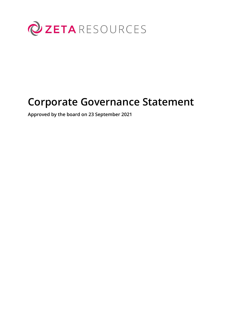

# **Corporate Governance Statement**

**Approved by the board on 23 September 2021**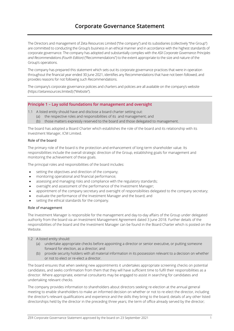# **Corporate Governance Statement**

The Directors and management of Zeta Resources Limited ("the company") and its subsidiaries (collectively "the Group") are committed to conducting the Group's business in an ethical manner and in accordance with the highest standards of corporate governance. The company has adopted and substantially complies with the *ASX Corporate Governance Principles and Recommendations (Fourth Edition)* ("Recommendations") to the extent appropriate to the size and nature of the Group's operations.

The company has prepared this statement which sets out its corporate governance practices that were in operation throughout the financial year ended 30 June 2021, identifies any Recommendations that have not been followed, and provides reasons for not following such Recommendations.

The company's corporate governance policies and charters and policies are all available on the company's website (https://zetaresources.limited) ("Website").

#### **Principle 1 – Lay solid foundations for management and oversight**

1.1 A listed entity should have and disclose a board charter setting out:

- (a) the respective roles and responsibilities of its and management; and
- (b) those matters expressly reserved to the board and those delegated to management.

The board has adopted a Board Charter which establishes the role of the board and its relationship with its Investment Manager, ICM Limited.

#### Role of the board

The primary role of the board is the protection and enhancement of long-term shareholder value. Its responsibilities include the overall strategic direction of the Group, establishing goals for management and monitoring the achievement of these goals.

The principal roles and responsibilities of the board includes:

- setting the objectives and direction of the company;
- monitoring operational and financial performance;
- assessing and managing risks and compliance with the regulatory standards;
- oversight and assessment of the performance of the Investment Manager;
- appointment of the company secretary and oversight of responsibilities delegated to the company secretary;
- evaluate the performance of the Investment Manager and the board; and
- setting the ethical standards for the company.

#### Role of management

The Investment Manager is responsible for the management and day-to-day affairs of the Group under delegated authority from the board via an Investment Management Agreement dated 3 June 2018. Further details of the responsibilities of the board and the Investment Manager can be found in the Board Charter which is posted on the Website.

#### 1.2 A listed entity should:

- (a) undertake appropriate checks before appointing a director or senior executive, or putting someone forward for election, as a director; and
- (b) provide security holders with all material information in its possession relevant to a decision on whether or not to elect or re-elect a director.

The board ensures that when seeking new appointments it undertakes appropriate screening checks on potential candidates, and seeks confirmation from them that they will have sufficient time to fulfil their responsibilities as a director. Where appropriate, external consultants may be engaged to assist in searching for candidates and undertaking relevant checks.

The company provides information to shareholders about directors seeking re-election at the annual general meeting to enable shareholders to make an informed decision on whether or not to re-elect the director, including the director's relevant qualifications and experience and the skills they bring to the board; details of any other listed directorships held by the director in the preceding three years; the term of office already served by the director;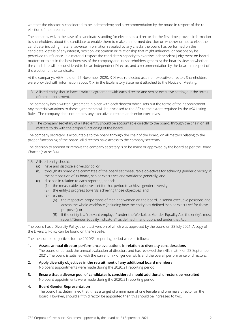whether the director is considered to be independent; and a recommendation by the board in respect of the reelection of the director.

The company will, in the case of a candidate standing for election as a director for the first time, provide information to shareholders about the candidate to enable them to make an informed decision on whether or not to elect the candidate, including material adverse information revealed by any checks the board has performed on the candidate; details of any interest, position, association or relationship that might influence, or reasonably be perceived to influence, in a material respect the candidate's capacity to exercise independent judgement on board matters or to act in the best interests of the company and its shareholders generally; the board's view on whether the candidate will be considered to be an independent Director; and a recommendation by the board in respect of the election of the candidate.

At the company's AGM held on 25 November 2020, Xi Xi was re-elected as a non-executive director. Shareholders were provided with information about Xi Xi in the Explanatory Statement attached to the Notice of Meeting.

1.3 A listed entity should have a written agreement with each director and senior executive setting out the terms of their appointment.

The company has a written agreement in place with each director which sets out the terms of their appointment. Any material variations to these agreements will be disclosed to the ASX to the extent required by the ASX Listing Rules. The company does not employ any executive directors and senior executives.

1.4 The company secretary of a listed entity should be accountable directly to the board, through the chair, on all matters to do with the proper functioning of the board.

The company secretary is accountable to the board through the chair of the board, on all matters relating to the proper functioning of the board. All directors have access to the company secretary.

The decision to appoint or remove the company secretary is to be made or approved by the board as per the Board Charter (clause 3.4).

- 1.5 A listed entity should:
	- (a) have and disclose a diversity policy;
	- (b) through its board or a committee of the board set measurable objectives for achieving gender diversity in the composition of its board, senior executives and workforce generally; and
	- (c) disclose in relation to each reporting period:
		- (1) the measurable objectives set for that period to achieve gender diversity;
		- (2) the entity's progress towards achieving those objectives; and
		- (3) either:
			- (A) the respective proportions of men and women on the board, in senior executive positions and across the whole workforce (including how the entity has defined "senior executive" for these purposes); or
			- (B) if the entity is a "relevant employer" under the Workplace Gender Equality Act, the entity's most recent "Gender Equality Indicators", as defined in and published under that Act.

The board has a Diversity Policy, the latest version of which was approved by the board on 23 July 2021. A copy of the Diversity Policy can be found on the Website.

The measurable objectives for the 2020/21 reporting period were as follows:

- **1. Assess annual director performance evaluations in relation to diversity considerations** The board undertook the annual evaluation of directors and has reviewed the skills matrix on 23 September
	- 2021. The board is satisfied with the current mix of gender, skills and the overall performance of directors.
- **2. Apply diversity objectives in the recruitment of any additional board members** No board appointments were made during the 2020/21 reporting period.
- **3. Ensure that a diverse pool of candidates is considered should additional directors be recruited** No board appointments were made during the 2020/21 reporting period.

#### **4. Board Gender Representation**

The board has determined that it has a target of a minimum of one female and one male director on the board. However, should a fifth director be appointed then this should be increased to two.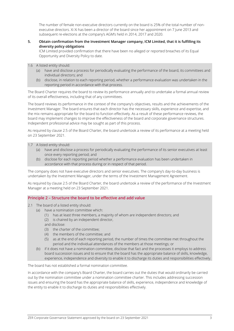The number of female non-executive directors currently on the board is 25% of the total number of nonexecutive directors. Xi Xi has been a director of the board since her appointment on 7 June 2013 and subsequent re-elections at the company's AGM's held in 2014, 2017 and 2020.

#### **5. Obtain confirmation from the Investment Manager company, ICM Limited, that it is fulfilling its diversity policy obligations**

ICM Limited provided confirmation that there have been no alleged or reported breaches of its Equal Opportunity and Diversity Policy to date.

#### 1.6 A listed entity should:

- (a) have and disclose a process for periodically evaluating the performance of the board, its committees and individual directors; and
- (b) disclose, in relation to each reporting period, whether a performance evaluation was undertaken in the reporting period in accordance with that process.

The Board Charter requires the board to review its performance annually and to undertake a formal annual review of its overall effectiveness, including that of any committees.

The board reviews its performance in the context of the company's objectives, results and the achievements of the Investment Manager. The board ensures that each director has the necessary skills, experience and expertise, and the mix remains appropriate for the board to function effectively. As a result of these performance reviews, the board may implement changes to improve the effectiveness of the board and corporate governance structures. Independent professional advice may be sought as part of this process.

As required by clause 2.5 of the Board Charter, the board undertook a review of its performance at a meeting held on 23 September 2021.

1.7 A listed entity should:

- (a) have and disclose a process for periodically evaluating the performance of its senior executives at least once every reporting period; and
- (b) disclose for each reporting period whether a performance evaluation has been undertaken in accordance with that process during or in respect of that period.

The company does not have executive directors and senior executives. The company's day-to-day business is undertaken by the Investment Manager, under the terms of the Investment Management Agreement.

As required by clause 2.5 of the Board Charter, the board undertook a review of the performance of the Investment Manager at a meeting held on 23 September 2021.

#### **Principle 2 – Structure the board to be effective and add value**

- 2.1 The board of a listed entity should:
	- (a) have a nomination committee which:
		- (1) has at least three members, a majority of whom are independent directors; and
		- (2) is chaired by an independent director,
		- and disclose:
		- (3) the charter of the committee;
		- (4) the members of the committee; and
		- (5) as at the end of each reporting period, the number of times the committee met throughout the period and the individual attendances of the members at those meetings; or
	- (b) if it does not have a nomination committee, disclose that fact and the processes it employs to address board succession issues and to ensure that the board has the appropriate balance of skills, knowledge, experience, independence and diversity to enable it to discharge its duties and responsibilities effectively.

The board has not established a formal nomination committee.

In accordance with the company's Board Charter, the board carries out the duties that would ordinarily be carried out by the nomination committee under a nomination committee charter. This includes addressing succession issues and ensuring the board has the appropriate balance of skills, experience, independence and knowledge of the entity to enable it to discharge its duties and responsibilities effectively.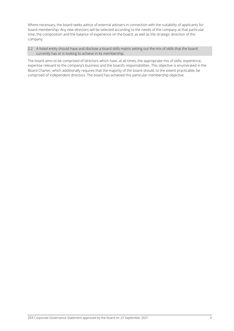Where necessary, the board seeks advice of external advisers in connection with the suitability of applicants for board membership. Any new directors will be selected according to the needs of the company at that particular time, the composition and the balance of experience on the board, as well as the strategic direction of the company.

2.2 A listed entity should have and disclose a board skills matrix setting out the mix of skills that the board currently has or is looking to achieve in its membership.

The board aims to be comprised of directors which have, at all times, the appropriate mix of skills, experience, expertise relevant to the company's business and the board's responsibilities. This objective is enumerated in the Board Charter, which additionally requires that the majority of the board should, to the extent practicable, be comprised of independent directors. The board has achieved this particular membership objective.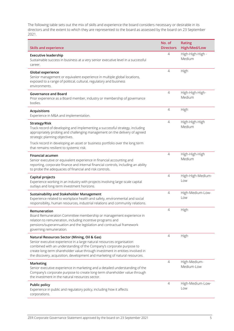The following table sets out the mix of skills and experience the board considers necessary or desirable in its directors and the extent to which they are represented to the board as assessed by the board on 23 September 2021.

| <b>Skills and experience</b>                                                                                                                                                                                                                                                                                                                                  | No. of<br><b>Directors</b> | <b>Rating</b><br><b>High/Med/Low</b> |
|---------------------------------------------------------------------------------------------------------------------------------------------------------------------------------------------------------------------------------------------------------------------------------------------------------------------------------------------------------------|----------------------------|--------------------------------------|
| <b>Executive leadership</b><br>Sustainable success in business at a very senior executive level in a successful<br>career.                                                                                                                                                                                                                                    | 4                          | High-High-High -<br>Medium           |
| <b>Global experience</b><br>Senior management or equivalent experience in multiple global locations,<br>exposed to a range of political, cultural, regulatory and business<br>environments.                                                                                                                                                                   | 4                          | High                                 |
| <b>Governance and Board</b><br>Prior experience as a Board member, industry or membership of governance<br>bodies.                                                                                                                                                                                                                                            | $\overline{4}$             | High-High-High-<br>Medium            |
| <b>Acquisitions</b><br>Experience in M&A and implementation.                                                                                                                                                                                                                                                                                                  | 4                          | High                                 |
| Strategy/Risk<br>Track record of developing and implementing a successful strategy, including<br>appropriately probing and challenging management on the delivery of agreed<br>strategic planning objectives.<br>Track record in developing an asset or business portfolio over the long term                                                                 | 4                          | High-High-High<br>Medium             |
| that remains resilient to systemic risk.<br><b>Financial acumen</b><br>Senior executive or equivalent experience in financial accounting and<br>reporting, corporate finance and internal financial controls, including an ability<br>to probe the adequacies of financial and risk controls.                                                                 | 4                          | High-High-High<br>Medium             |
| Capital projects<br>Experience working in an industry with projects involving large-scale capital<br>outlays and long-term investment horizons.                                                                                                                                                                                                               | $\overline{4}$             | High-High-Medium-<br>Low             |
| <b>Sustainability and Stakeholder Management</b><br>Experience related to workplace health and safety, environmental and social<br>responsibility, human resources, industrial relations and community relations.                                                                                                                                             | 4                          | High-Medium-Low-<br>Low              |
| Remuneration<br>Board Remuneration Committee membership or management experience in<br>relation to remuneration, including incentive programs and<br>pensions/superannuation and the legislation and contractual framework<br>governing remuneration.                                                                                                         | 4                          | High                                 |
| Natural Resources Sector (Mining, Oil & Gas)<br>Senior executive experience in a large natural resources organisation<br>combined with an understanding of the Company's corporate purpose to<br>create long-term shareholder value through investment in entities involved in<br>the discovery, acquisition, development and marketing of natural resources. | 4                          | High                                 |
| Marketing<br>Senior executive experience in marketing and a detailed understanding of the<br>Company's corporate purpose to create long-term shareholder value through<br>the investment in the natural resources sector.                                                                                                                                     | 4                          | High-Medium-<br>Medium-Low           |
| <b>Public policy</b><br>Experience in public and regulatory policy, including how it affects<br>corporations.                                                                                                                                                                                                                                                 | 4                          | High-Medium-Low-<br>Low              |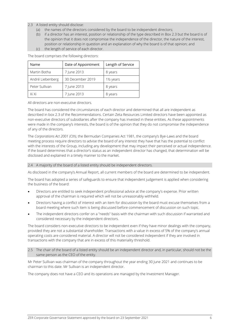## 2.3 A listed entity should disclose:

- (a) the names of the directors considered by the board to be independent directors;
- (b) if a director has an interest, position or relationship of the type described in Box 2.3 but the board is of the opinion that it does not compromise the independence of the director, the nature of the interest, position or relationship in question and an explanation of why the board is of that opinion; and
- (c) the length of service of each director.

The board comprises the following directors:

| Name             | Date of Appointment | Length of Service |
|------------------|---------------------|-------------------|
| Martin Botha     | 7 June 2013         | 8 years           |
| André Liebenberg | 30 December 2019    | 1½ years          |
| Peter Sullivan   | 7 June 2013         | 8 years           |
| Xi Xi            | 7 June 2013         | 8 years           |

All directors are non-executive directors.

The board has considered the circumstances of each director and determined that all are independent as described in box 2.3 of the Recommendations. Certain Zeta Resources Limited directors have been appointed as non-executive directors of subsidiaries after the company has invested in these entities. As these appointments were made in the company's interests, the board is of the opinion that they do not compromise the independence of any of the directors.

The *Corporations Act 2001 (Cth)*, the Bermudan Companies Act 1981, the company's Bye-Laws and the board meeting process require directors to advise the board of any interest they have that has the potential to conflict with the interests of the Group, including any development that may impact their perceived or actual independence. If the board determines that a director's status as an independent director has changed, that determination will be disclosed and explained in a timely manner to the market.

#### 2.4 A majority of the board of a listed entity should be independent directors.

As disclosed in the company's Annual Report, all current members of the board are determined to be independent.

The board has adopted a series of safeguards to ensure that independent judgement is applied when considering the business of the board:

- Directors are entitled to seek independent professional advice at the company's expense. Prior written approval of the chairman is required which will not be unreasonably withheld.
- Directors having a conflict of interest with an item for discussion by the board must excuse themselves from a board meeting where such item is being discussed before commencement of discussion on such topic.
- The independent directors confer on a "needs" basis with the chairman with such discussion if warranted and considered necessary by the independent directors.

The board considers non-executive directors to be independent even if they have minor dealings with the company, provided they are not a substantial shareholder. Transactions with a value in excess of 5% of the company's annual operating costs are considered material. A director will not be considered independent if they are involved in transactions with the company that are in excess of this materiality threshold.

2.5 The chair of the board of a listed entity should be an independent director and, in particular, should not be the same person as the CEO of the entity.

Mr Peter Sullivan was chairman of the company throughout the year ending 30 June 2021 and continues to be chairman to this date. Mr Sullivan is an independent director.

The company does not have a CEO and its operations are managed by the Investment Manager.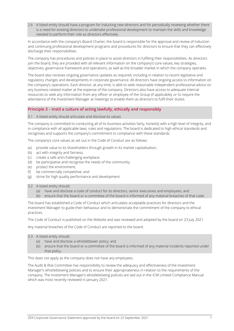2.6 A listed entity should have a program for inducting new directors and for periodically reviewing whether there is a need for existing directors to undertake professional development to maintain the skills and knowledge needed to perform their role as directors effectively.

In accordance with the company's Board Charter, the board is responsible for the approval and review of induction and continuing professional development programs and procedures for directors to ensure that they can effectively discharge their responsibilities.

The company has procedures and policies in place to assist directors in fulfilling their responsibilities. As directors join the board, they are provided with all relevant information on the company's core values, key strategies, objectives, governance framework and operations, as well as the broader market in which the company operates.

The board also receives ongoing governance updates as required, including in relation to recent legislative and regulatory changes and developments in corporate governance. All directors have ongoing access to information on the company's operations. Each director, at any time, is able to seek reasonable independent professional advice on any business-related matter at the expense of the company. Directors also have access to adequate internal resources to seek any information from any officer or employee of the Group (if applicable), or to require the attendance of the Investment Manager at meetings to enable them as directors to fulfil their duties.

# **Principle 3 – Instil a culture of acting lawfully, ethically and responsibly**

#### 3.1 A listed entity should articulate and disclose its values

The company is committed to conducting all of its business activities fairly, honestly with a high level of integrity, and in compliance with all applicable laws, rules and regulations. The board is dedicated to high ethical standards and recognises and supports the company's commitment to compliance with these standards.

The company's core values as set out in the Code of Conduct are as follows:

- (a) provide value to its shareholders through growth in its market capitalisation;
- (b) act with integrity and fairness;
- (c) create a safe and challenging workplace;
- (d) be participative and recognise the needs of the community;
- (e) protect the environment;
- (f) be commercially competitive; and
- (g) strive for high quality performance and development.

#### 3.2 A listed entity should:

- (a) have and disclose a code of conduct for its directors, senior executives and employees; and
- (b) ensure that the board or a committee of the board is informed of any material breaches of that code.

The board has established a Code of Conduct which articulates acceptable practices for directors and the Investment Manager to guide their behaviour and to demonstrate the commitment of the company to ethical practices.

The Code of Conduct is published on the Website and was reviewed and adopted by the board on 23 July 2021.

Any material breaches of the Code of Conduct are reported to the board.

- 3.3 A listed entity should:
	- (a) have and disclose a whistleblower policy; and
	- (b) ensure that the board or a committee of the board is informed of any material incidents reported under that policy.

This does not apply as the company does not have any employees.

The Audit & Risk Committee has responsibility to review the adequacy and effectiveness of the Investment Manager's whistleblowing policies and to ensure their appropriateness in relation to the requirements of the company. The Investment Manager's whistleblowing policies are laid out in the ICM Limited Compliance Manual which was most recently reviewed in January 2021.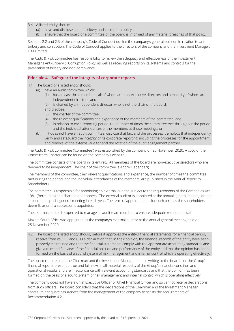- 3.4 A listed entity should:
	- (a) have and disclose an anti-bribery and corruption policy; and
	- (b) ensure that the board or a committee of the board is informed of any material breaches of that policy.

Sections 2.2 and 2.3 of the company's Code of Conduct outline the company's general position in relation to antibribery and corruption. The Code of Conduct applies to the directors of the company and the Investment Manager, ICM Limited.

The Audit & Risk Committee has responsibility to review the adequacy and effectiveness of the Investment Manager's Anti-Bribery & Corruption Policy, as well as receiving reports on its systems and controls for the prevention of bribery and non-compliance.

## **Principle 4 – Safeguard the integrity of corporate reports**

- 4.1 The board of a listed entity should:
	- (a) have an audit committee which:
		- (1) has at least three members, all of whom are non-executive directors and a majority of whom are independent directors; and
		- (2) is chaired by an independent director, who is not the chair of the board,
		- and disclose:
		- (3) the charter of the committee;
		- (4) the relevant qualifications and experience of the members of the committee; and
		- (5) in relation to each reporting period, the number of times the committee met throughout the period and the individual attendances of the members at those meetings; or
	- (b) if it does not have an audit committee, disclose that fact and the processes it employs that independently verify and safeguard the integrity of its corporate reporting, including the processes for the appointment and removal of the external auditor and the rotation of the audit engagement partner.

The Audit & Risk Committee ("committee") was established by the company on 25 November 2020. A copy of the Committee's Charter can be found on the company's website.

The committee consists of the board in its entirety. All members of the board are non-executive directors who are deemed to be independent. The chair of the committee is André Liebenberg.

The members of the committee, their relevant qualifications and experience, the number of times the committee met during the period, and the individual attendances of the members, are published in the Annual Report to Shareholders

The committee is responsible for appointing an external auditor, subject to the requirements of the Companies Act 1981 (Bermudan) and shareholder approval. The external auditor is appointed at the annual general meeting or at a subsequent special general meeting in each year. The term of appointment is for such term as the shareholders deem fit or until a successor is appointed.

The external auditor is expected to manage its audit team member to ensure adequate rotation of staff.

Mazars South Africa was appointed as the company's external auditor at the annual general meeting held on 25 November 2020.

4.2 The board of a listed entity should, before it approves the entity's financial statements for a financial period, receive from its CEO and CFO a declaration that, in their opinion, the financial records of the entity have been properly maintained and that the financial statements comply with the appropriate accounting standards and give a true and fair view of the financial position and performance of the entity and that the opinion has been formed on the basis of a sound system of risk management and internal control which is operating effectively.

The board requires that the Chairman and the Investment Manager state in writing to the board that the Group's financial reports present a true and fair view, in all material respects, of the Group's financial condition and operational results and are in accordance with relevant accounting standards and that the opinion has been formed on the basis of a sound system of risk management and internal control which is operating effectively.

The company does not have a Chief Executive Officer or Chief Financial Officer and so cannot receive declarations from such officers. The board considers that the declarations of the Chairman and the Investment Manager constitute adequate assurances from the management of the company to satisfy the requirements of Recommendation 4.2.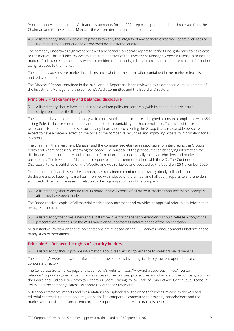Prior to approving the company's financial statements for the 2021 reporting period, the board received from the Chairman and the Investment Manager the written declarations outlined above.

4.3 A listed entity should disclose its process to verify the integrity of any periodic corporate report it releases to the market that is not audited or reviewed by an external auditor.

The company undertakes significant review of any periodic corporate report to verify its integrity prior to its release to the market. This includes reviews by Directors and staff of the Investment Manager. Where a release is to include matter of substance, the company will seek additional input and guidance from its auditors prior to the information being released to the market.

The company advises the market in each instance whether the information contained in the market release is audited or unaudited.

The Directors' Report contained in the 2021 Annual Report has been reviewed by relevant senior management of the Investment Manager and the company's Audit Committee and the Board of Directors.

#### **Principle 5 – Make timely and balanced disclosure**

5.1 A listed entity should have and disclose a written policy for complying with its continuous disclosure obligations under the listing rule 3.1.

The company has a documented policy which has established procedures designed to ensure compliance with ASX Listing Rule disclosure requirements and to ensure accountability for that compliance. The focus of these procedures is on continuous disclosure of any information concerning the Group that a reasonable person would expect to have a material effect on the price of the company's securities and improving access to information for all investors.

The chairman, the Investment Manager and the company secretary are responsible for interpreting the Group's policy and where necessary informing the board. The purpose of the procedures for identifying information for disclosure is to ensure timely and accurate information is provided equally to all shareholders and market participants. The Investment Manager is responsible for all communications with the ASX. The Continuous Disclosure Policy is published on the Website and was reviewed and adopted by the board on 25 November 2020.

During the past financial year, the company has remained committed to providing timely, full and accurate disclosure and to keeping its markets informed with release of the annual and half yearly reports to shareholders along with other news releases in relation to the ongoing activities of the company.

5.2 A listed entity should ensure that its board receives copies of all material market announcements promptly after they have been made.

The Board receives copies of all material market announcement and provides its approval prior to any information being released to market.

5.3 A listed entity that gives a new and substantive investor or analyst presentation should release a copy of the presentation materials on the ASX Market Announcements Platform ahead of the presentation.

All substantive investor or analyst presentations are released on the ASX Markets Announcements Platform ahead of any such presentations.

## **Principle 6 – Respect the rights of security holders**

6.1 A listed entity should provide information about itself and its governance to investors via its website.

The company's website provides information on the company including its history, current operations and corporate directory.

The Corporate Governance page of the company's website (https://www.zetaresources.limited/investorrelations/corporate-governance/) provides access to key policies, procedures and charters of the company, such as the Board and Audit & Risk Committee charters, Share Trading Policy, Code of Conduct and Continuous Disclosure Policy, and the company's latest Corporate Governance Statement.

ASX announcements, reports and presentations are uploaded to the website following release to the ASX and editorial content is updated on a regular basis. The company is committed to providing shareholders and the market with consistent, transparent corporate reporting and timely, accurate disclosures.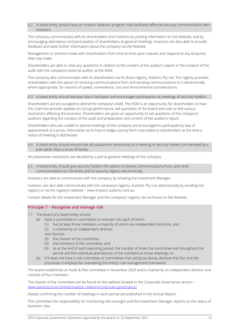#### 6.2 A listed entity should have an investor relations program that facilitates effective two-way communication with investors.

The company communicates with its shareholders and investors by posting information on the Website, and by encouraging attendance and participation of shareholders at general meetings. Investors are also able to provide feedback and seek further information about the company via the Website.

Management or directors meet with shareholders from time-to-time upon request and respond to any enquiries they may make.

Shareholders are able to raise any questions in relation to the content of the auditor's report or the conduct of the audit with the company's external auditor at the AGM.

The company also communicates with its shareholders via its share registry, Automic Pty Ltd. The registry provides shareholders with the option of receiving communications from and sending communications to it electronically, where appropriate, for reasons of speed, convenience, cost and environmental considerations.

#### 6.3 A listed entity should disclose how it facilitates and encourages participation at meetings of security holders.

Shareholders are encouraged to attend the company's AGM. The AGM is an opportunity for shareholders to hear the chairman provide updates on Group performance, ask questions of the board and vote on the various resolutions affecting the business. Shareholders are given an opportunity to ask questions of the company's auditors regarding the conduct of the audit and preparation and content of the auditor's report.

Shareholders who are unable to attend meetings of the company are encouraged to participate by way of appointment of a proxy. Information as to how to lodge a proxy form is provided to shareholders at the time a notice of meeting is distributed.

6.4 A listed entity should ensure that all substantive resolutions at a meeting of security holders are decided by a poll rather than a show of hands.

All substantive resolutions are decided by a poll at general meetings of the company.

6.5 A listed entity should give security holders the option to receive communications from, and send communications to, the entity and its security registry electronically.

Investors are able to communicate with the company by emailing the Investment Manager.

Investors are also able communicate with the company's registry, Automic Pty Ltd, electronically by emailing the registry or via the registry's website – www.investor.automic.com.au

Contact details for the Investment Manager and the company's registry can be found on the Website.

#### **Principle 7 – Recognise and manage risk**

- 7.1 The board of a listed entity should:
	- (a) have a committee or committees to oversee risk, each of which:
		- (1) has at least three members, a majority of whom are independent directors; and
		- (2) is chaired by an independent director,
		- and disclose:
		- (3) the charter of the committee;
		- (4) the members of the committee; and
		- (5) as at the end of each reporting period, the number of times the committee met throughout the period and the individual attendances of the members at those meetings; or
	- (b) if it does not have a risk committee or committees that satisfy (a) above, disclose that fact and the processes it employs for overseeing the entity's risk management framework.

The board established an Audit & Risk committee in November 2020 and is chaired by an independent director and consists of four members.

The charter of the committee can be found on the website located in the Corporate Governance section – [www.zetaresources.limited/investor-relations/corporate-governance/](http://www.zetaresources.limited/investor-relations/corporate-governance/)

Details confirming the number of meetings in each period are published in the Annual Report.

The committee has responsibility for monitoring risk oversight and the Investment Manager reports on the status of business risks.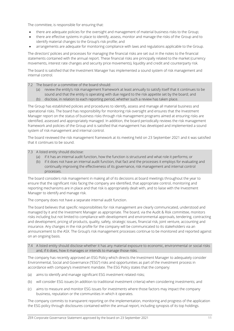The committee, is responsible for ensuring that:

- there are adequate policies for the oversight and management of material business risks to the Group;
- there are effective systems in place to identify, assess, monitor and manage the risks of the Group and to identify material changes to the Group's risk profile; and
- arrangements are adequate for monitoring compliance with laws and regulations applicable to the Group.

The directors' policies and processes for managing the financial risks are set out in the notes to the financial statements contained with the annual report. These financial risks are principally related to the market (currency movements, interest rate changes and security price movements), liquidity and credit and counterparty risk.

The board is satisfied that the Investment Manager has implemented a sound system of risk management and internal control.

#### 7.2 The board or a committee of the board should:

- (a) review the entity's risk management framework at least annually to satisfy itself that it continues to be sound and that the entity is operating with due regard to the risk appetite set by the board; and
- (b) disclose, in relation to each reporting period, whether such a review has taken place.

The Group has established policies and procedures to identify, assess and manage all material business and operational risks. The board has responsibility for monitoring risk oversight and ensures that the Investment Manager report on the status of business risks through risk management programs aimed at ensuring risks are identified, assessed and appropriately managed. In addition, the board periodically reviews the risk management framework and policies of the Group and is satisfied that management has developed and implemented a sound system of risk management and internal control.

The board reviewed the risk management framework at its meeting held on 23 September 2021 and it was satisfied that it continues to be sound.

7.3 A listed entity should disclose:

- (a) if it has an internal audit function, how the function is structured and what role it performs; or
- (b) if it does not have an internal audit function, that fact and the processes it employs for evaluating and continually improving the effectiveness of its governance, risk management and internal control processes.

The board considers risk management in making all of its decisions at board meetings throughout the year to ensure that the significant risks facing the company are identified, that appropriate control, monitoring and reporting mechanisms are in place and that risk is appropriately dealt with, and to liaise with the Investment Manager to identify and manage risk.

The company does not have a separate internal audit function.

The board believes that specific responsibilities for risk management are clearly communicated, understood and managed by it and the Investment Manager as appropriate. The board, via the Audit & Risk committee, monitors risks including but not limited to compliance with development and environmental approvals, tendering, contracting and development, pricing of products, quality, safety, strategic issues, financial risk, joint venture, accounting and insurance. Any changes in the risk profile for the company will be communicated to its stakeholders via an announcement to the ASX. The Group's risk management processes continue to be monitored and reported against on an ongoing basis.

7.4 A listed entity should disclose whether it has any material exposure to economic, environmental or social risks and, if it does, how it manages or intends to manage those risks.

The company has recently approved an ESG Policy which directs the Investment Manager to adequately consider Environmental, Social and Governance ("ESG") risks and opportunities as part of the investment process in accordance with company's investment mandate. The ESG Policy states that the company:

- (a) aims to identify and manage significant ESG investment related risks;
- (b) will consider ESG issues (in addition to traditional investment criteria) when considering investments; and
- (c) aims to measure and monitor ESG issues for investments where those factors may impact the company business, reputation or the communities in which it operates.

The company commits to transparent reporting on the implementation, monitoring and progress of the application the ESG policy through disclosures contained within the annual report, including synopsis of its top holdings.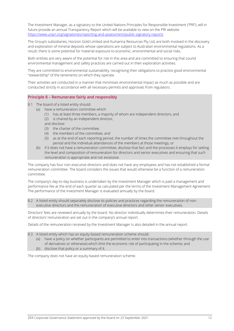The Investment Manager, as a signatory to the United Nations Principles for Responsible Investment ("PRI"), will in future provide an annual Transparency Report which will be available to view on the PRI website: <https://www.unpri.org/signatories/reporting-and-assessment/public-signatory-reports>

The Group's subsidiaries, Horizon Gold Limited and Kumarina Resources Pty Ltd, are both involved in the discovery and exploration of mineral deposits whose operations are subject to Australian environmental regulations. As a result, there is some potential for material exposure to economic, environmental and social risks.

Both entities are very aware of the potential for risk in this area and are committed to ensuring that sound environmental management and safety practices are carried out in their exploration activities.

They are committed to environmental sustainability, recognising their obligations to practice good environmental "stewardship" of the tenements on which they operate.

Their activities are conducted in a manner that minimises environmental impact as much as possible and are conducted strictly in accordance with all necessary permits and approvals from regulators.

#### **Principle 8 – Remunerate fairly and responsibly**

- 8.1 The board of a listed entity should:
	- (a) have a remuneration committee which:
		- (1) has at least three members, a majority of whom are independent directors; and
		- (2) is chaired by an independent director,
		- and disclose:
		- (3) the charter of the committee;
		- (4) the members of the committee; and
		- (5) as at the end of each reporting period, the number of times the committee met throughout the period and the individual attendances of the members at those meetings; or
		- (b) if it does not have a remuneration committee, disclose that fact and the processes it employs for setting the level and composition of remuneration for directors and senior executives and ensuring that such remuneration is appropriate and not excessive.

The company has four non-executive directors and does not have any employees and has not established a formal remuneration committee. The board considers the issues that would otherwise be a function of a remuneration committee.

The company's day-to-day business is undertaken by the Investment Manager which is paid a management and performance fee at the end of each quarter as calculated per the terms of the Investment Management Agreement. The performance of the Investment Manager is evaluated annually by the board.

8.2 A listed entity should separately disclose its policies and practices regarding the remuneration of nonexecutive directors and the remuneration of executive directors and other senior executives.

Directors' fees are reviewed annually by the board. No director individually determines their remuneration. Details of directors' remuneration are set out in the company's annual report.

Details of the remuneration received by the Investment Manager is also detailed in the annual report.

8.3 A listed entity which has an equity-based remuneration scheme should:

- (a) have a policy on whether participants are permitted to enter into transactions (whether through the use of derivatives or otherwise) which limit the economic risk of participating in the scheme; and
- (b) disclose that policy or a summary of it.

The company does not have an equity-based remuneration scheme.